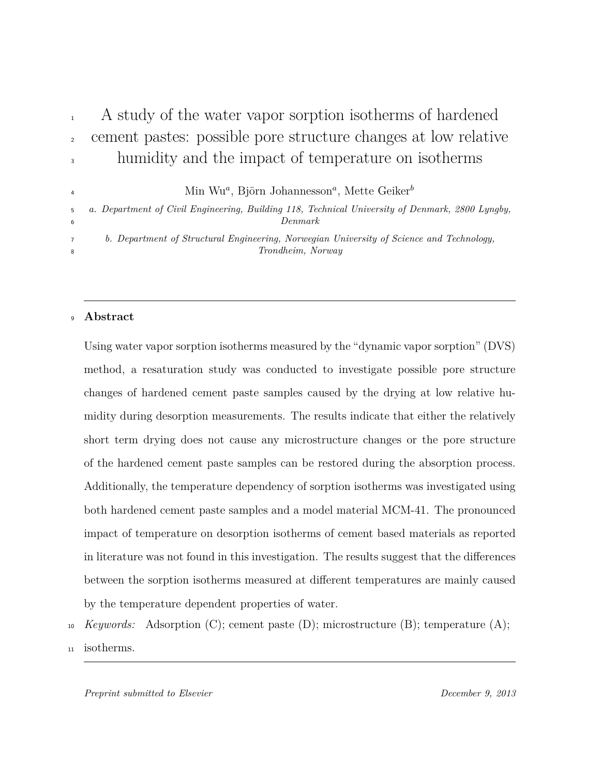# <sup>1</sup> A study of the water vapor sorption isotherms of hardened <sup>2</sup> cement pastes: possible pore structure changes at low relative <sup>3</sup> humidity and the impact of temperature on isotherms

Min Wu*<sup>a</sup>* , Björn Johannesson*<sup>a</sup>* , Mette Geiker*<sup>b</sup>*

<sup>5</sup> *a. Department of Civil Engineering, Building 118, Technical University of Denmark, 2800 Lyngby,* <sup>6</sup> *Denmark*

<sup>7</sup> *b. Department of Structural Engineering, Norwegian University of Science and Technology,* <sup>8</sup> *Trondheim, Norway*

## <sup>9</sup> **Abstract**

4

Using water vapor sorption isotherms measured by the "dynamic vapor sorption" (DVS) method, a resaturation study was conducted to investigate possible pore structure changes of hardened cement paste samples caused by the drying at low relative humidity during desorption measurements. The results indicate that either the relatively short term drying does not cause any microstructure changes or the pore structure of the hardened cement paste samples can be restored during the absorption process. Additionally, the temperature dependency of sorption isotherms was investigated using both hardened cement paste samples and a model material MCM-41. The pronounced impact of temperature on desorption isotherms of cement based materials as reported in literature was not found in this investigation. The results suggest that the differences between the sorption isotherms measured at different temperatures are mainly caused by the temperature dependent properties of water.

- <sup>10</sup> *Keywords:* Adsorption (C); cement paste (D); microstructure (B); temperature (A);
- <sup>11</sup> isotherms.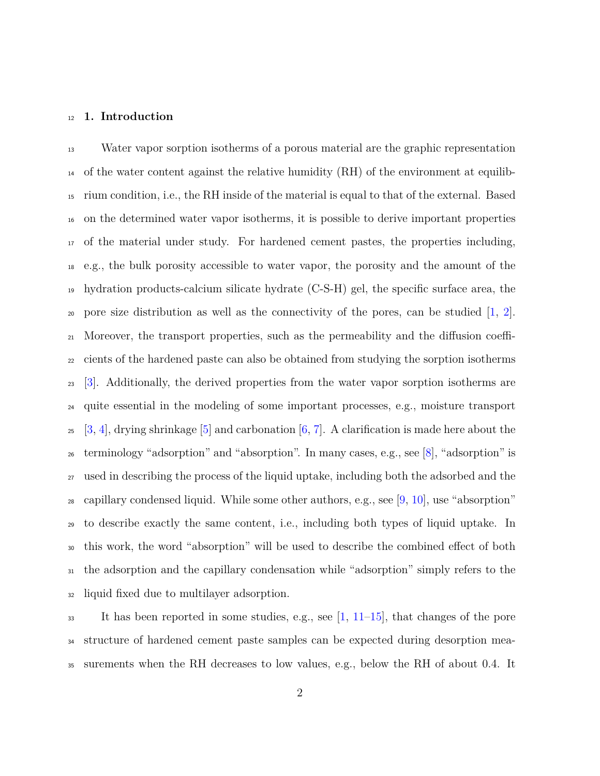#### **1. Introduction**

 Water vapor sorption isotherms of a porous material are the graphic representation of the water content against the relative humidity (RH) of the environment at equilib- rium condition, i.e., the RH inside of the material is equal to that of the external. Based on the determined water vapor isotherms, it is possible to derive important properties of the material under study. For hardened cement pastes, the properties including, e.g., the bulk porosity accessible to water vapor, the porosity and the amount of the hydration products-calcium silicate hydrate (C-S-H) gel, the specific surface area, the 20 pore size distribution as well as the connectivity of the pores, can be studied  $[1, 2]$  $[1, 2]$  $[1, 2]$ . Moreover, the transport properties, such as the permeability and the diffusion coeffi- cients of the hardened paste can also be obtained from studying the sorption isotherms [\[3\]](#page-31-1). Additionally, the derived properties from the water vapor sorption isotherms are quite essential in the modeling of some important processes, e.g., moisture transport  $25\quad$  [\[3,](#page-31-1) [4\]](#page-31-2), drying shrinkage [\[5\]](#page-31-3) and carbonation [\[6,](#page-31-4) [7\]](#page-31-5). A clarification is made here about the terminology "adsorption" and "absorption". In many cases, e.g., see [\[8\]](#page-31-6), "adsorption" is used in describing the process of the liquid uptake, including both the adsorbed and the 28 capillary condensed liquid. While some other authors, e.g., see [\[9,](#page-32-0) [10\]](#page-32-1), use "absorption" to describe exactly the same content, i.e., including both types of liquid uptake. In this work, the word "absorption" will be used to describe the combined effect of both the adsorption and the capillary condensation while "adsorption" simply refers to the liquid fixed due to multilayer adsorption.

 It has been reported in some studies, e.g., see [\[1,](#page-30-0) [11–](#page-32-2)[15\]](#page-32-3), that changes of the pore structure of hardened cement paste samples can be expected during desorption mea-surements when the RH decreases to low values, e.g., below the RH of about 0.4. It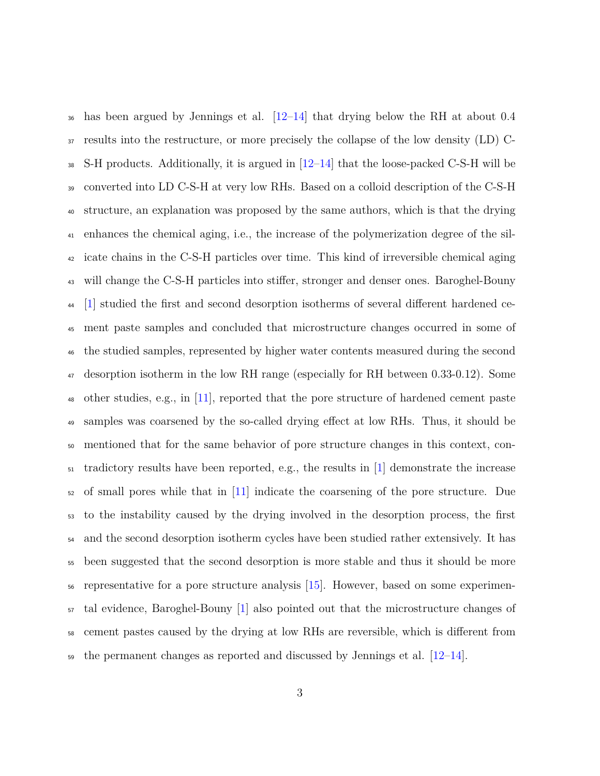has been argued by Jennings et al. [\[12](#page-32-4)[–14\]](#page-32-5) that drying below the RH at about 0.4 results into the restructure, or more precisely the collapse of the low density (LD) C- S-H products. Additionally, it is argued in  $[12-14]$  $[12-14]$  that the loose-packed C-S-H will be converted into LD C-S-H at very low RHs. Based on a colloid description of the C-S-H structure, an explanation was proposed by the same authors, which is that the drying enhances the chemical aging, i.e., the increase of the polymerization degree of the sil- icate chains in the C-S-H particles over time. This kind of irreversible chemical aging will change the C-S-H particles into stiffer, stronger and denser ones. Baroghel-Bouny [\[1\]](#page-30-0) studied the first and second desorption isotherms of several different hardened ce- ment paste samples and concluded that microstructure changes occurred in some of the studied samples, represented by higher water contents measured during the second desorption isotherm in the low RH range (especially for RH between 0.33-0.12). Some other studies, e.g., in [\[11\]](#page-32-2), reported that the pore structure of hardened cement paste samples was coarsened by the so-called drying effect at low RHs. Thus, it should be mentioned that for the same behavior of pore structure changes in this context, con- $\frac{1}{51}$  tradictory results have been reported, e.g., the results in [\[1\]](#page-30-0) demonstrate the increase of small pores while that in [\[11\]](#page-32-2) indicate the coarsening of the pore structure. Due to the instability caused by the drying involved in the desorption process, the first and the second desorption isotherm cycles have been studied rather extensively. It has been suggested that the second desorption is more stable and thus it should be more representative for a pore structure analysis [\[15\]](#page-32-3). However, based on some experimen- tal evidence, Baroghel-Bouny [\[1\]](#page-30-0) also pointed out that the microstructure changes of cement pastes caused by the drying at low RHs are reversible, which is different from  $\frac{1}{29}$  the permanent changes as reported and discussed by Jennings et al.  $[12-14]$  $[12-14]$ .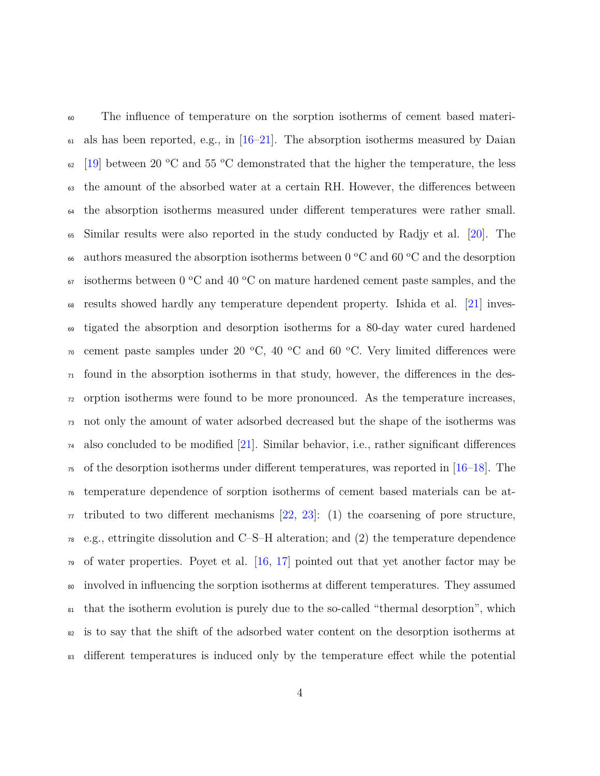The influence of temperature on the sorption isotherms of cement based materi- als has been reported, e.g., in  $[16–21]$  $[16–21]$ . The absorption isotherms measured by Daian  $_{62}$  [\[19\]](#page-33-2) between 20 °C and 55 °C demonstrated that the higher the temperature, the less the amount of the absorbed water at a certain RH. However, the differences between the absorption isotherms measured under different temperatures were rather small. Similar results were also reported in the study conducted by Radjy et al. [\[20\]](#page-33-3). The 66 authors measured the absorption isotherms between  $0 °C$  and  $60 °C$  and the desorption  $\epsilon_{\text{57}}$  isotherms between 0 °C and 40 °C on mature hardened cement paste samples, and the results showed hardly any temperature dependent property. Ishida et al. [\[21\]](#page-33-1) inves- tigated the absorption and desorption isotherms for a 80-day water cured hardened  $\sigma$  cement paste samples under 20 °C, 40 °C and 60 °C. Very limited differences were  $_{71}$  found in the absorption isotherms in that study, however, the differences in the des- orption isotherms were found to be more pronounced. As the temperature increases, not only the amount of water adsorbed decreased but the shape of the isotherms was also concluded to be modified [\[21\]](#page-33-1). Similar behavior, i.e., rather significant differences  $\tau$ <sub>5</sub> of the desorption isotherms under different temperatures, was reported in [\[16–](#page-33-0)[18\]](#page-33-4). The temperature dependence of sorption isotherms of cement based materials can be at- $\pi$  tributed to two different mechanisms [\[22,](#page-33-5) [23\]](#page-34-0): (1) the coarsening of pore structure, e.g., ettringite dissolution and C–S–H alteration; and (2) the temperature dependence  $\sigma$  of water properties. Poyet et al. [\[16,](#page-33-0) [17\]](#page-33-6) pointed out that yet another factor may be involved in influencing the sorption isotherms at different temperatures. They assumed that the isotherm evolution is purely due to the so-called "thermal desorption", which is to say that the shift of the adsorbed water content on the desorption isotherms at <sup>83</sup> different temperatures is induced only by the temperature effect while the potential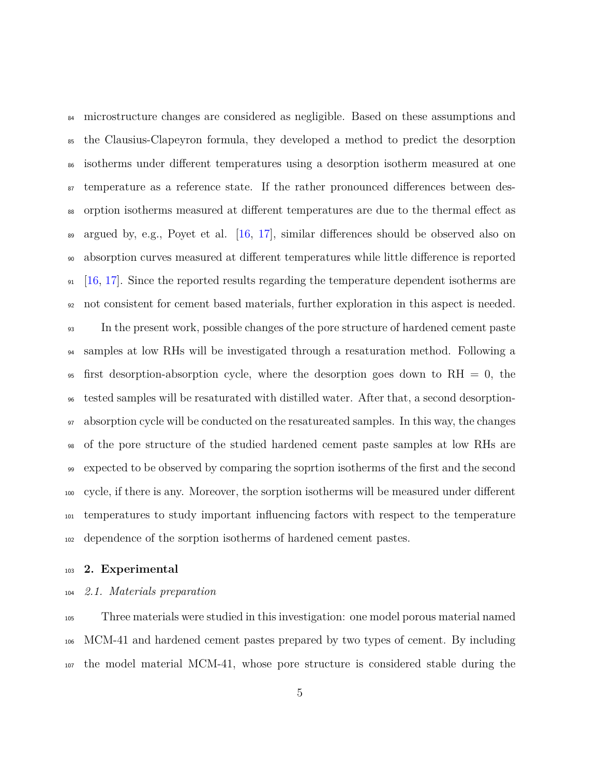<sup>84</sup> microstructure changes are considered as negligible. Based on these assumptions and the Clausius-Clapeyron formula, they developed a method to predict the desorption isotherms under different temperatures using a desorption isotherm measured at one temperature as a reference state. If the rather pronounced differences between des- orption isotherms measured at different temperatures are due to the thermal effect as argued by, e.g., Poyet et al. [\[16,](#page-33-0) [17\]](#page-33-6), similar differences should be observed also on absorption curves measured at different temperatures while little difference is reported  $91 \quad [16, 17]$  $91 \quad [16, 17]$  $91 \quad [16, 17]$  $91 \quad [16, 17]$ . Since the reported results regarding the temperature dependent isotherms are not consistent for cement based materials, further exploration in this aspect is needed. In the present work, possible changes of the pore structure of hardened cement paste samples at low RHs will be investigated through a resaturation method. Following a <sup>95</sup> first desorption-absorption cycle, where the desorption goes down to RH  $=$  0, the tested samples will be resaturated with distilled water. After that, a second desorption- absorption cycle will be conducted on the resatureated samples. In this way, the changes of the pore structure of the studied hardened cement paste samples at low RHs are expected to be observed by comparing the soprtion isotherms of the first and the second cycle, if there is any. Moreover, the sorption isotherms will be measured under different temperatures to study important influencing factors with respect to the temperature dependence of the sorption isotherms of hardened cement pastes.

### **2. Experimental**

# *2.1. Materials preparation*

 Three materials were studied in this investigation: one model porous material named MCM-41 and hardened cement pastes prepared by two types of cement. By including the model material MCM-41, whose pore structure is considered stable during the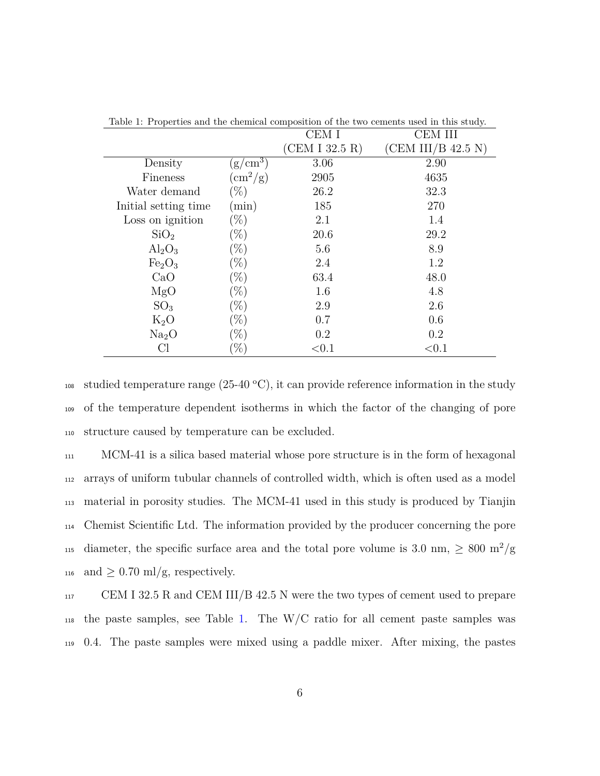| Table 1. I reperties and the chemical composition of the two echients used in this study. |                              |                |                    |
|-------------------------------------------------------------------------------------------|------------------------------|----------------|--------------------|
|                                                                                           |                              | CEM I          | CEM III            |
|                                                                                           |                              | (CEM I 32.5 R) | (CEM III/B 42.5 N) |
| Density                                                                                   | $(g/cm^3)$                   | 3.06           | 2.90               |
| Fineness                                                                                  | $\rm \langle cm^2/g \rangle$ | 2905           | 4635               |
| Water demand                                                                              | $(\%)$                       | 26.2           | 32.3               |
| Initial setting time                                                                      | min)                         | 185            | 270                |
| Loss on ignition                                                                          | $(\%)$                       | 2.1            | 1.4                |
| SiO <sub>2</sub>                                                                          | $(\%)$                       | 20.6           | 29.2               |
| $\text{Al}_2\text{O}_3$                                                                   | $(\%)$                       | 5.6            | 8.9                |
| Fe <sub>2</sub> O <sub>3</sub>                                                            | $(\%)$                       | 2.4            | 1.2                |
| CaO                                                                                       | $(\%)$                       | 63.4           | 48.0               |
| MgO                                                                                       | $(\%)$                       | 1.6            | 4.8                |
| SO <sub>3</sub>                                                                           | $(\%)$                       | 2.9            | 2.6                |
| $K_2O$                                                                                    | $(\%)$                       | 0.7            | 0.6                |
| Na <sub>2</sub> O                                                                         | $(\%)$                       | 0.2            | 0.2                |
| Сl                                                                                        | %                            | < 0.1          | < 0.1              |
|                                                                                           |                              |                |                    |

<span id="page-5-0"></span>Table 1: Properties and the chemical composition of the two cements used in this study.

108 studied temperature range  $(25{\text -}40 \text{ °C})$ , it can provide reference information in the study <sup>109</sup> of the temperature dependent isotherms in which the factor of the changing of pore <sup>110</sup> structure caused by temperature can be excluded.

 MCM-41 is a silica based material whose pore structure is in the form of hexagonal arrays of uniform tubular channels of controlled width, which is often used as a model material in porosity studies. The MCM-41 used in this study is produced by Tianjin Chemist Scientific Ltd. The information provided by the producer concerning the pore 115 diameter, the specific surface area and the total pore volume is 3.0 nm,  $\geq 800 \text{ m}^2/\text{g}$ 116 and  $\geq$  0.70 ml/g, respectively.

<sup>117</sup> CEM I 32.5 R and CEM III/B 42.5 N were the two types of cement used to prepare <sup>118</sup> the paste samples, see Table [1.](#page-5-0) The W/C ratio for all cement paste samples was <sup>119</sup> 0.4. The paste samples were mixed using a paddle mixer. After mixing, the pastes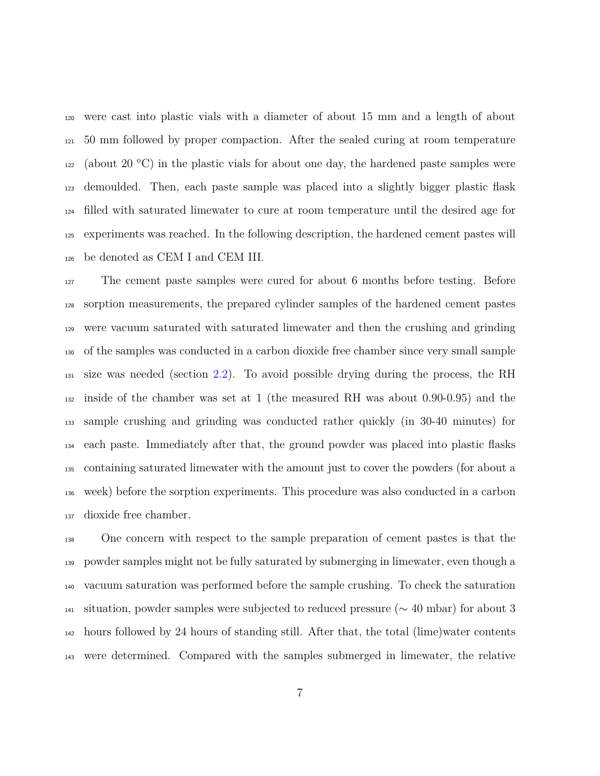were cast into plastic vials with a diameter of about 15 mm and a length of about 50 mm followed by proper compaction. After the sealed curing at room temperature  $_{122}$  (about 20 °C) in the plastic vials for about one day, the hardened paste samples were demoulded. Then, each paste sample was placed into a slightly bigger plastic flask filled with saturated limewater to cure at room temperature until the desired age for experiments was reached. In the following description, the hardened cement pastes will be denoted as CEM I and CEM III.

 The cement paste samples were cured for about 6 months before testing. Before sorption measurements, the prepared cylinder samples of the hardened cement pastes were vacuum saturated with saturated limewater and then the crushing and grinding of the samples was conducted in a carbon dioxide free chamber since very small sample size was needed (section [2.2\)](#page-8-0). To avoid possible drying during the process, the RH inside of the chamber was set at 1 (the measured RH was about 0.90-0.95) and the sample crushing and grinding was conducted rather quickly (in 30-40 minutes) for each paste. Immediately after that, the ground powder was placed into plastic flasks containing saturated limewater with the amount just to cover the powders (for about a week) before the sorption experiments. This procedure was also conducted in a carbon dioxide free chamber.

 One concern with respect to the sample preparation of cement pastes is that the powder samples might not be fully saturated by submerging in limewater, even though a vacuum saturation was performed before the sample crushing. To check the saturation situation, powder samples were subjected to reduced pressure (∼ 40 mbar) for about 3 hours followed by 24 hours of standing still. After that, the total (lime)water contents were determined. Compared with the samples submerged in limewater, the relative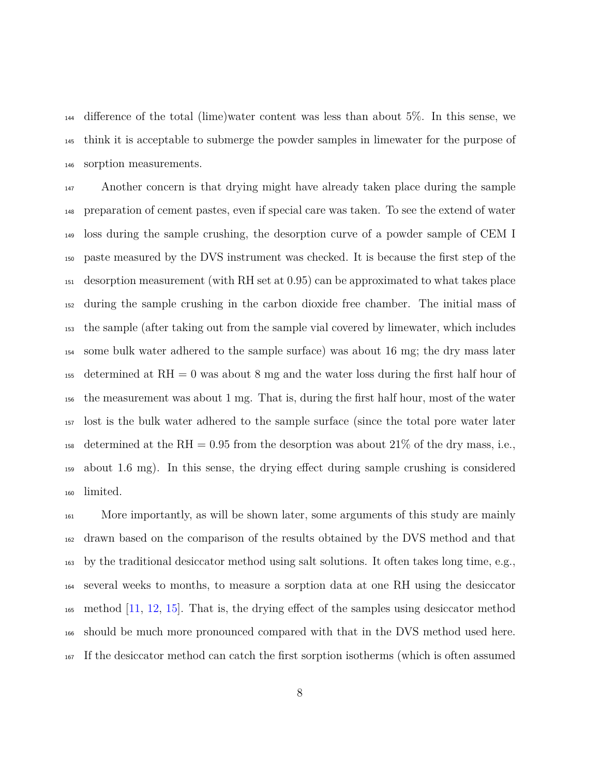difference of the total (lime)water content was less than about 5%. In this sense, we think it is acceptable to submerge the powder samples in limewater for the purpose of sorption measurements.

 Another concern is that drying might have already taken place during the sample preparation of cement pastes, even if special care was taken. To see the extend of water loss during the sample crushing, the desorption curve of a powder sample of CEM I paste measured by the DVS instrument was checked. It is because the first step of the desorption measurement (with RH set at 0.95) can be approximated to what takes place during the sample crushing in the carbon dioxide free chamber. The initial mass of the sample (after taking out from the sample vial covered by limewater, which includes some bulk water adhered to the sample surface) was about 16 mg; the dry mass later 155 determined at  $RH = 0$  was about 8 mg and the water loss during the first half hour of the measurement was about 1 mg. That is, during the first half hour, most of the water lost is the bulk water adhered to the sample surface (since the total pore water later <sup>158</sup> determined at the RH = 0.95 from the desorption was about 21% of the dry mass, i.e., about 1.6 mg). In this sense, the drying effect during sample crushing is considered limited.

 More importantly, as will be shown later, some arguments of this study are mainly drawn based on the comparison of the results obtained by the DVS method and that by the traditional desiccator method using salt solutions. It often takes long time, e.g., several weeks to months, to measure a sorption data at one RH using the desiccator method [\[11,](#page-32-2) [12,](#page-32-4) [15\]](#page-32-3). That is, the drying effect of the samples using desiccator method should be much more pronounced compared with that in the DVS method used here. If the desiccator method can catch the first sorption isotherms (which is often assumed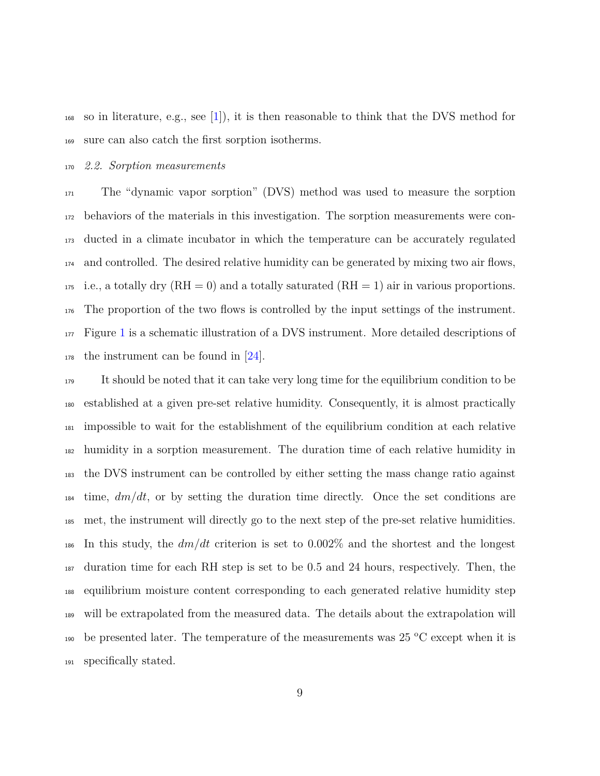$_{168}$  so in literature, e.g., see [\[1\]](#page-30-0)), it is then reasonable to think that the DVS method for sure can also catch the first sorption isotherms.

## <span id="page-8-0"></span>*2.2. Sorption measurements*

 The "dynamic vapor sorption" (DVS) method was used to measure the sorption behaviors of the materials in this investigation. The sorption measurements were con- ducted in a climate incubator in which the temperature can be accurately regulated and controlled. The desired relative humidity can be generated by mixing two air flows, 175 i.e., a totally dry  $(RH = 0)$  and a totally saturated  $(RH = 1)$  air in various proportions. The proportion of the two flows is controlled by the input settings of the instrument. Figure [1](#page-9-0) is a schematic illustration of a DVS instrument. More detailed descriptions of the instrument can be found in [\[24\]](#page-34-1).

 It should be noted that it can take very long time for the equilibrium condition to be established at a given pre-set relative humidity. Consequently, it is almost practically impossible to wait for the establishment of the equilibrium condition at each relative humidity in a sorption measurement. The duration time of each relative humidity in the DVS instrument can be controlled by either setting the mass change ratio against time, *dm/dt*, or by setting the duration time directly. Once the set conditions are met, the instrument will directly go to the next step of the pre-set relative humidities. In this study, the *dm/dt* criterion is set to 0.002% and the shortest and the longest duration time for each RH step is set to be 0.5 and 24 hours, respectively. Then, the equilibrium moisture content corresponding to each generated relative humidity step will be extrapolated from the measured data. The details about the extrapolation will 190 be presented later. The temperature of the measurements was  $25\text{ °C}$  except when it is specifically stated.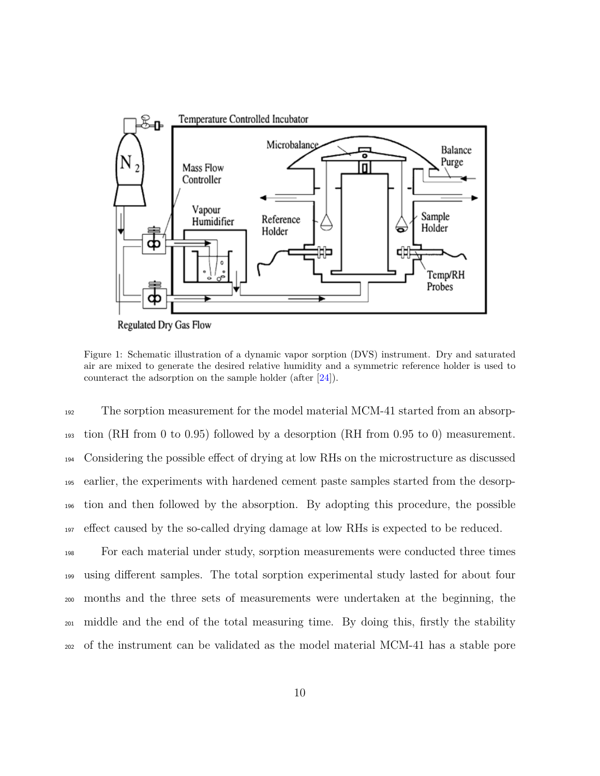<span id="page-9-0"></span>

Regulated Dry Gas Flow

Figure 1: Schematic illustration of a dynamic vapor sorption (DVS) instrument. Dry and saturated air are mixed to generate the desired relative humidity and a symmetric reference holder is used to counteract the adsorption on the sample holder (after [\[24\]](#page-34-1)).

 The sorption measurement for the model material MCM-41 started from an absorp- tion (RH from 0 to 0.95) followed by a desorption (RH from 0.95 to 0) measurement. Considering the possible effect of drying at low RHs on the microstructure as discussed earlier, the experiments with hardened cement paste samples started from the desorp- tion and then followed by the absorption. By adopting this procedure, the possible effect caused by the so-called drying damage at low RHs is expected to be reduced.

 For each material under study, sorption measurements were conducted three times using different samples. The total sorption experimental study lasted for about four months and the three sets of measurements were undertaken at the beginning, the middle and the end of the total measuring time. By doing this, firstly the stability of the instrument can be validated as the model material MCM-41 has a stable pore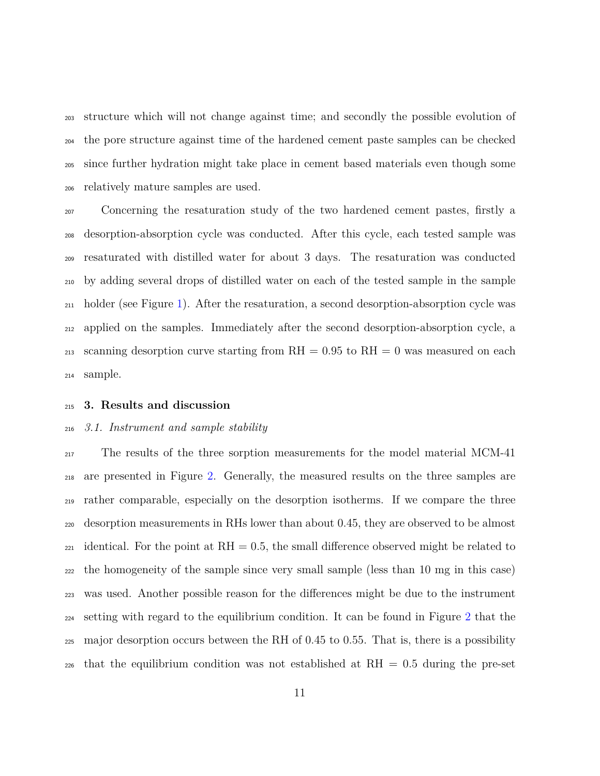structure which will not change against time; and secondly the possible evolution of the pore structure against time of the hardened cement paste samples can be checked since further hydration might take place in cement based materials even though some relatively mature samples are used.

 Concerning the resaturation study of the two hardened cement pastes, firstly a desorption-absorption cycle was conducted. After this cycle, each tested sample was resaturated with distilled water for about 3 days. The resaturation was conducted by adding several drops of distilled water on each of the tested sample in the sample holder (see Figure [1\)](#page-9-0). After the resaturation, a second desorption-absorption cycle was applied on the samples. Immediately after the second desorption-absorption cycle, a  $_{213}$  scanning desorption curve starting from RH = 0.95 to RH = 0 was measured on each sample.

## **3. Results and discussion**

#### *3.1. Instrument and sample stability*

<sup>217</sup> The results of the three sorption measurements for the model material MCM-41 are presented in Figure [2.](#page-11-0) Generally, the measured results on the three samples are rather comparable, especially on the desorption isotherms. If we compare the three desorption measurements in RHs lower than about 0.45, they are observed to be almost  $_{221}$  identical. For the point at RH = 0.5, the small difference observed might be related to the homogeneity of the sample since very small sample (less than 10 mg in this case) was used. Another possible reason for the differences might be due to the instrument setting with regard to the equilibrium condition. It can be found in Figure [2](#page-11-0) that the major desorption occurs between the RH of 0.45 to 0.55. That is, there is a possibility  $_{226}$  that the equilibrium condition was not established at RH = 0.5 during the pre-set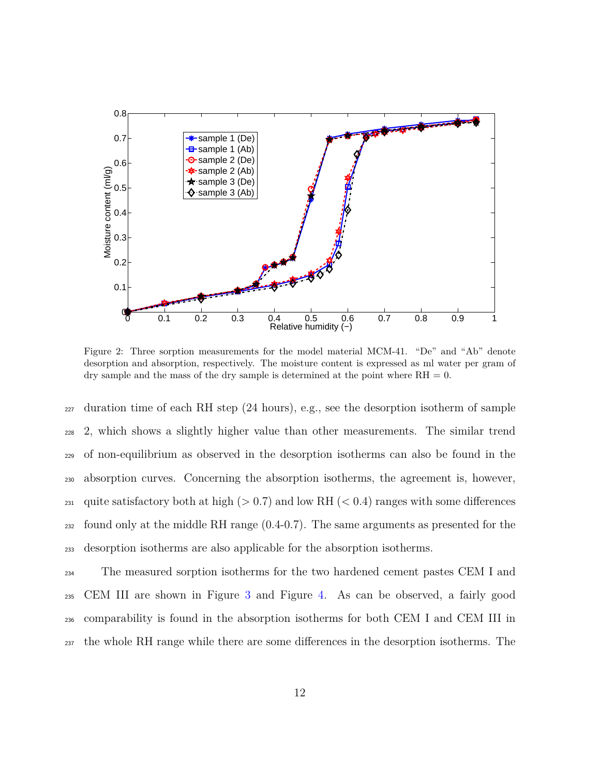<span id="page-11-0"></span>

Figure 2: Three sorption measurements for the model material MCM-41. "De" and "Ab" denote desorption and absorption, respectively. The moisture content is expressed as ml water per gram of dry sample and the mass of the dry sample is determined at the point where  $RH = 0$ .

 $_{227}$  duration time of each RH step (24 hours), e.g., see the desorption isotherm of sample 2, which shows a slightly higher value than other measurements. The similar trend of non-equilibrium as observed in the desorption isotherms can also be found in the absorption curves. Concerning the absorption isotherms, the agreement is, however, 231 quite satisfactory both at high ( $> 0.7$ ) and low RH ( $< 0.4$ ) ranges with some differences found only at the middle RH range (0.4-0.7). The same arguments as presented for the desorption isotherms are also applicable for the absorption isotherms.

 The measured sorption isotherms for the two hardened cement pastes CEM I and CEM III are shown in Figure [3](#page-13-0) and Figure [4.](#page-14-0) As can be observed, a fairly good comparability is found in the absorption isotherms for both CEM I and CEM III in the whole RH range while there are some differences in the desorption isotherms. The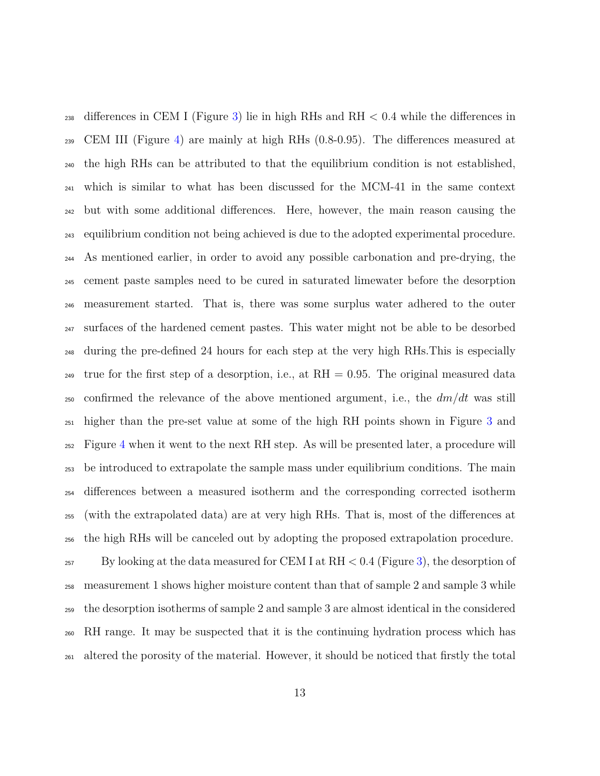<sup>238</sup> differences in CEM I (Figure [3\)](#page-13-0) lie in high RHs and RH  $< 0.4$  while the differences in CEM III (Figure [4\)](#page-14-0) are mainly at high RHs (0.8-0.95). The differences measured at the high RHs can be attributed to that the equilibrium condition is not established, which is similar to what has been discussed for the MCM-41 in the same context but with some additional differences. Here, however, the main reason causing the equilibrium condition not being achieved is due to the adopted experimental procedure. As mentioned earlier, in order to avoid any possible carbonation and pre-drying, the cement paste samples need to be cured in saturated limewater before the desorption measurement started. That is, there was some surplus water adhered to the outer surfaces of the hardened cement pastes. This water might not be able to be desorbed during the pre-defined 24 hours for each step at the very high RHs.This is especially <sub>249</sub> true for the first step of a desorption, i.e., at  $RH = 0.95$ . The original measured data confirmed the relevance of the above mentioned argument, i.e., the *dm/dt* was still higher than the pre-set value at some of the high RH points shown in Figure [3](#page-13-0) and Figure [4](#page-14-0) when it went to the next RH step. As will be presented later, a procedure will be introduced to extrapolate the sample mass under equilibrium conditions. The main differences between a measured isotherm and the corresponding corrected isotherm (with the extrapolated data) are at very high RHs. That is, most of the differences at the high RHs will be canceled out by adopting the proposed extrapolation procedure. <sup>257</sup> By looking at the data measured for CEM I at RH  $< 0.4$  (Figure [3\)](#page-13-0), the desorption of measurement 1 shows higher moisture content than that of sample 2 and sample 3 while the desorption isotherms of sample 2 and sample 3 are almost identical in the considered RH range. It may be suspected that it is the continuing hydration process which has altered the porosity of the material. However, it should be noticed that firstly the total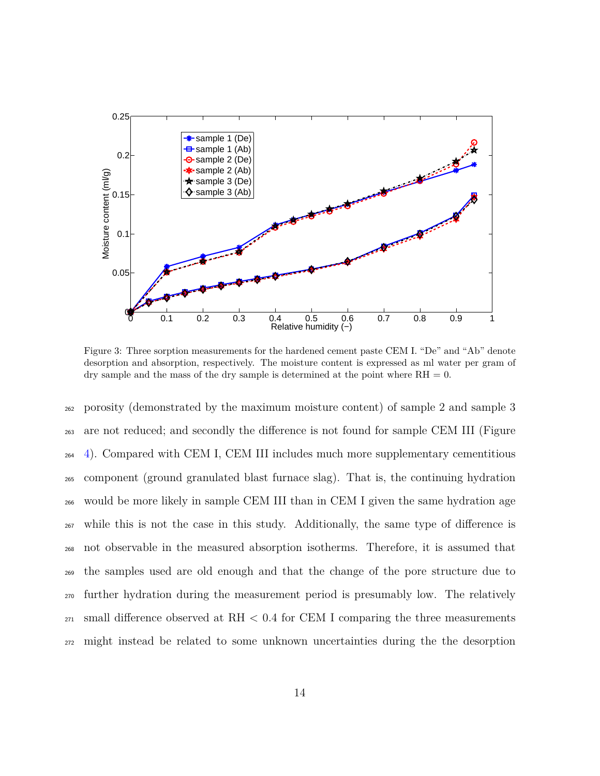<span id="page-13-0"></span>

Figure 3: Three sorption measurements for the hardened cement paste CEM I. "De" and "Ab" denote desorption and absorption, respectively. The moisture content is expressed as ml water per gram of dry sample and the mass of the dry sample is determined at the point where  $RH = 0$ .

 porosity (demonstrated by the maximum moisture content) of sample 2 and sample 3 are not reduced; and secondly the difference is not found for sample CEM III (Figure  $_{264}$  [4\)](#page-14-0). Compared with CEM I, CEM III includes much more supplementary cementitious component (ground granulated blast furnace slag). That is, the continuing hydration would be more likely in sample CEM III than in CEM I given the same hydration age while this is not the case in this study. Additionally, the same type of difference is not observable in the measured absorption isotherms. Therefore, it is assumed that the samples used are old enough and that the change of the pore structure due to further hydration during the measurement period is presumably low. The relatively  $_{271}$  small difference observed at RH  $< 0.4$  for CEM I comparing the three measurements might instead be related to some unknown uncertainties during the the desorption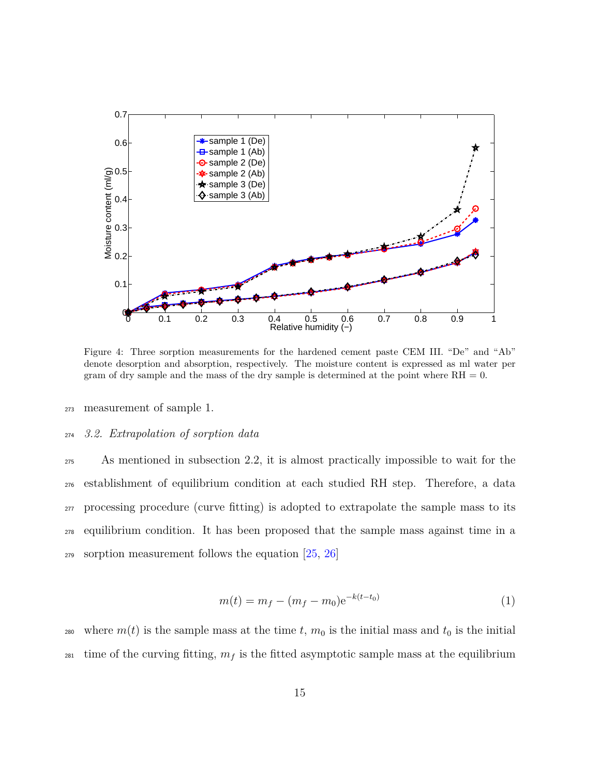<span id="page-14-0"></span>

Figure 4: Three sorption measurements for the hardened cement paste CEM III. "De" and "Ab" denote desorption and absorption, respectively. The moisture content is expressed as ml water per gram of dry sample and the mass of the dry sample is determined at the point where  $RH = 0$ .

<sup>273</sup> measurement of sample 1.

#### <sup>274</sup> *3.2. Extrapolation of sorption data*

 As mentioned in subsection 2.2, it is almost practically impossible to wait for the establishment of equilibrium condition at each studied RH step. Therefore, a data processing procedure (curve fitting) is adopted to extrapolate the sample mass to its equilibrium condition. It has been proposed that the sample mass against time in a <sup>279</sup> sorption measurement follows the equation [\[25,](#page-34-2) [26\]](#page-34-3)

$$
m(t) = m_f - (m_f - m_0)e^{-k(t - t_0)}
$$
\n(1)

<sup>280</sup> where  $m(t)$  is the sample mass at the time *t*,  $m_0$  is the initial mass and  $t_0$  is the initial <sup>281</sup> time of the curving fitting,  $m_f$  is the fitted asymptotic sample mass at the equilibrium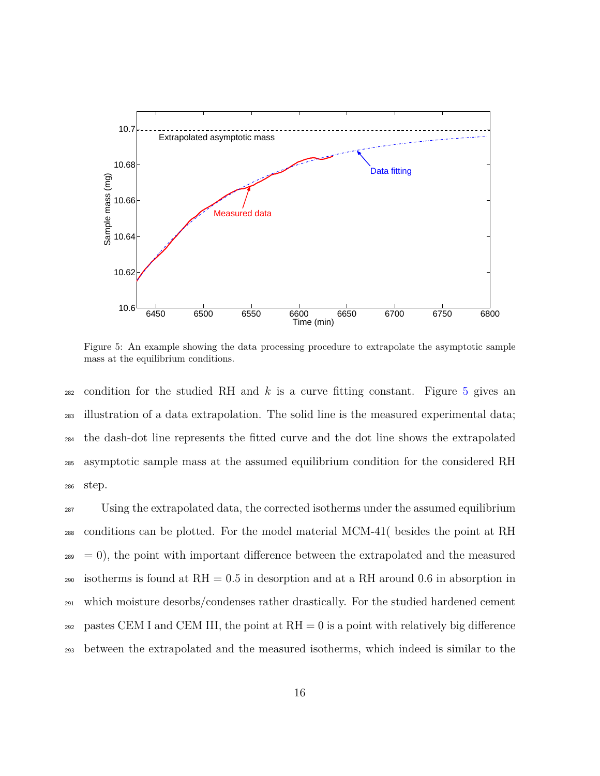<span id="page-15-0"></span>

Figure 5: An example showing the data processing procedure to extrapolate the asymptotic sample mass at the equilibrium conditions.

 condition for the studied RH and *k* is a curve fitting constant. Figure [5](#page-15-0) gives an illustration of a data extrapolation. The solid line is the measured experimental data; the dash-dot line represents the fitted curve and the dot line shows the extrapolated asymptotic sample mass at the assumed equilibrium condition for the considered RH <sup>286</sup> step.

<sup>287</sup> Using the extrapolated data, the corrected isotherms under the assumed equilibrium <sup>288</sup> conditions can be plotted. For the model material MCM-41( besides the point at RH  $_{289}$  = 0), the point with important difference between the extrapolated and the measured 290 isotherms is found at  $RH = 0.5$  in desorption and at a RH around 0.6 in absorption in <sup>291</sup> which moisture desorbs/condenses rather drastically. For the studied hardened cement 292 pastes CEM I and CEM III, the point at  $RH = 0$  is a point with relatively big difference <sup>293</sup> between the extrapolated and the measured isotherms, which indeed is similar to the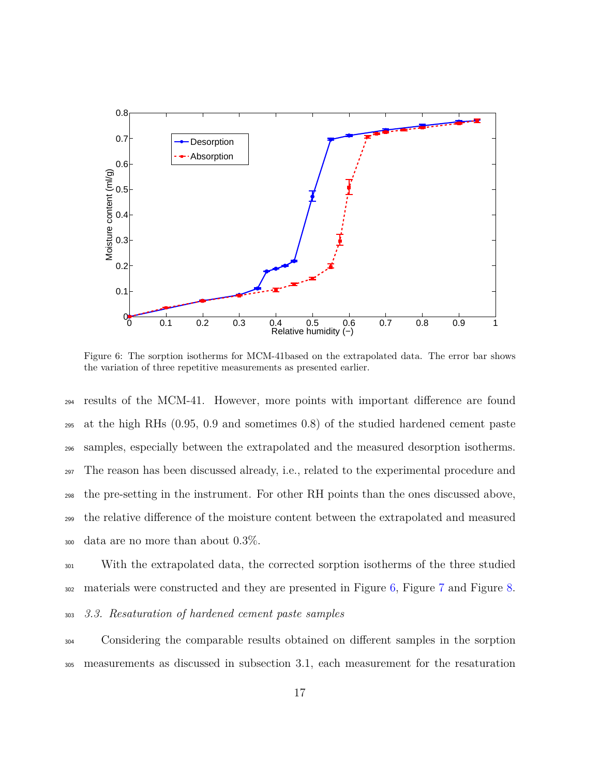<span id="page-16-0"></span>

Figure 6: The sorption isotherms for MCM-41based on the extrapolated data. The error bar shows the variation of three repetitive measurements as presented earlier.

 results of the MCM-41. However, more points with important difference are found at the high RHs (0.95, 0.9 and sometimes 0.8) of the studied hardened cement paste samples, especially between the extrapolated and the measured desorption isotherms. The reason has been discussed already, i.e., related to the experimental procedure and the pre-setting in the instrument. For other RH points than the ones discussed above, the relative difference of the moisture content between the extrapolated and measured data are no more than about 0.3%.

<sup>301</sup> With the extrapolated data, the corrected sorption isotherms of the three studied <sup>302</sup> materials were constructed and they are presented in Figure [6,](#page-16-0) Figure [7](#page-17-0) and Figure [8.](#page-17-1)

# <sup>303</sup> *3.3. Resaturation of hardened cement paste samples*

<sup>304</sup> Considering the comparable results obtained on different samples in the sorption <sup>305</sup> measurements as discussed in subsection 3.1, each measurement for the resaturation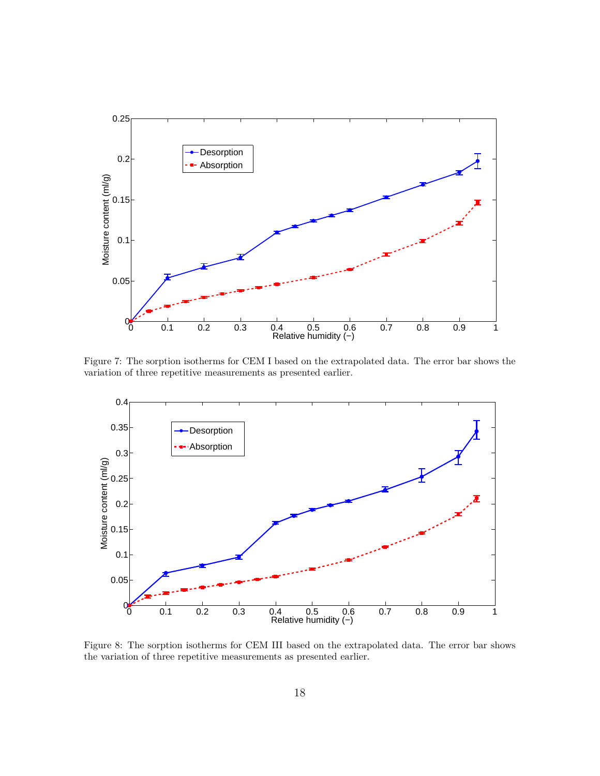<span id="page-17-0"></span>

Figure 7: The sorption isotherms for CEM I based on the extrapolated data. The error bar shows the variation of three repetitive measurements as presented earlier.

<span id="page-17-1"></span>

Figure 8: The sorption isotherms for CEM III based on the extrapolated data. The error bar shows the variation of three repetitive measurements as presented earlier.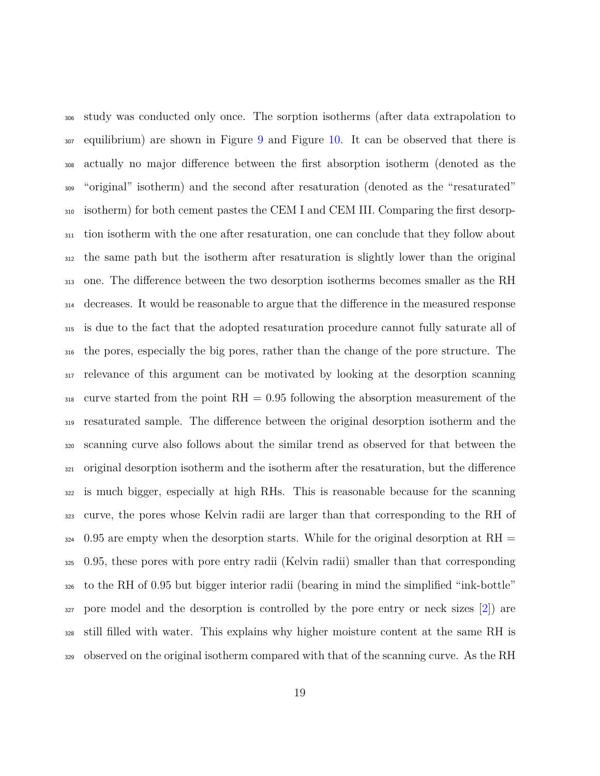study was conducted only once. The sorption isotherms (after data extrapolation to equilibrium) are shown in Figure [9](#page-19-0) and Figure [10.](#page-21-0) It can be observed that there is actually no major difference between the first absorption isotherm (denoted as the "original" isotherm) and the second after resaturation (denoted as the "resaturated" isotherm) for both cement pastes the CEM I and CEM III. Comparing the first desorp- tion isotherm with the one after resaturation, one can conclude that they follow about the same path but the isotherm after resaturation is slightly lower than the original one. The difference between the two desorption isotherms becomes smaller as the RH decreases. It would be reasonable to argue that the difference in the measured response is due to the fact that the adopted resaturation procedure cannot fully saturate all of the pores, especially the big pores, rather than the change of the pore structure. The relevance of this argument can be motivated by looking at the desorption scanning curve started from the point RH = 0.95 following the absorption measurement of the resaturated sample. The difference between the original desorption isotherm and the scanning curve also follows about the similar trend as observed for that between the original desorption isotherm and the isotherm after the resaturation, but the difference is much bigger, especially at high RHs. This is reasonable because for the scanning curve, the pores whose Kelvin radii are larger than that corresponding to the RH of 0.95 are empty when the desorption starts. While for the original desorption at RH = 0.95, these pores with pore entry radii (Kelvin radii) smaller than that corresponding to the RH of 0.95 but bigger interior radii (bearing in mind the simplified "ink-bottle" pore model and the desorption is controlled by the pore entry or neck sizes [\[2\]](#page-31-0)) are still filled with water. This explains why higher moisture content at the same RH is observed on the original isotherm compared with that of the scanning curve. As the RH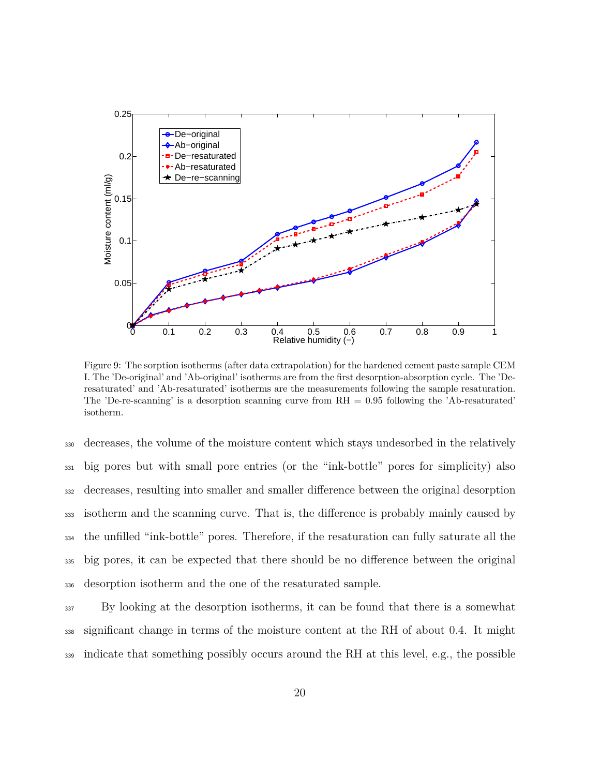<span id="page-19-0"></span>

Figure 9: The sorption isotherms (after data extrapolation) for the hardened cement paste sample CEM I. The 'De-original' and 'Ab-original' isotherms are from the first desorption-absorption cycle. The 'Deresaturated' and 'Ab-resaturated' isotherms are the measurements following the sample resaturation. The 'De-re-scanning' is a desorption scanning curve from  $RH = 0.95$  following the 'Ab-resaturated' isotherm.

 decreases, the volume of the moisture content which stays undesorbed in the relatively big pores but with small pore entries (or the "ink-bottle" pores for simplicity) also decreases, resulting into smaller and smaller difference between the original desorption isotherm and the scanning curve. That is, the difference is probably mainly caused by the unfilled "ink-bottle" pores. Therefore, if the resaturation can fully saturate all the big pores, it can be expected that there should be no difference between the original desorption isotherm and the one of the resaturated sample.

<sup>337</sup> By looking at the desorption isotherms, it can be found that there is a somewhat <sup>338</sup> significant change in terms of the moisture content at the RH of about 0.4. It might <sup>339</sup> indicate that something possibly occurs around the RH at this level, e.g., the possible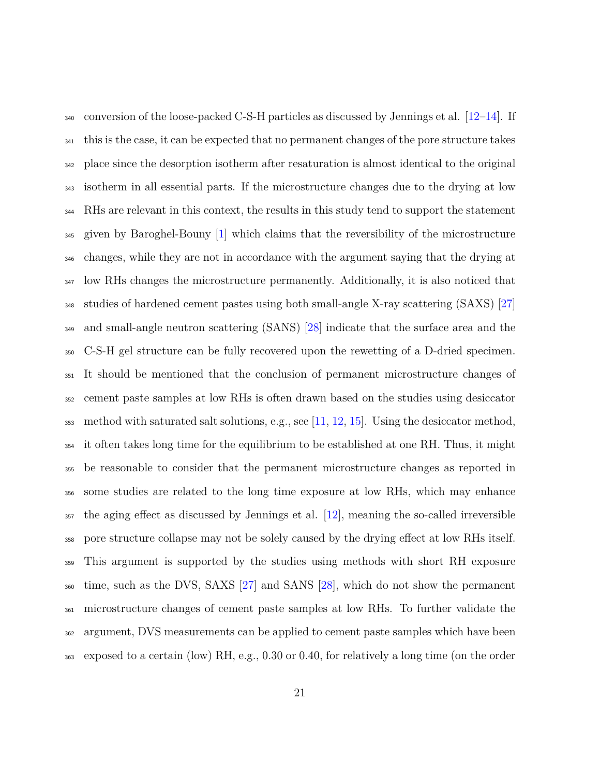$_{340}$  conversion of the loose-packed C-S-H particles as discussed by Jennings et al.  $[12-14]$  $[12-14]$ . If this is the case, it can be expected that no permanent changes of the pore structure takes place since the desorption isotherm after resaturation is almost identical to the original isotherm in all essential parts. If the microstructure changes due to the drying at low RHs are relevant in this context, the results in this study tend to support the statement given by Baroghel-Bouny [\[1\]](#page-30-0) which claims that the reversibility of the microstructure changes, while they are not in accordance with the argument saying that the drying at low RHs changes the microstructure permanently. Additionally, it is also noticed that studies of hardened cement pastes using both small-angle X-ray scattering (SAXS) [\[27\]](#page-34-4) and small-angle neutron scattering (SANS) [\[28\]](#page-34-5) indicate that the surface area and the C-S-H gel structure can be fully recovered upon the rewetting of a D-dried specimen. It should be mentioned that the conclusion of permanent microstructure changes of cement paste samples at low RHs is often drawn based on the studies using desiccator method with saturated salt solutions, e.g., see [\[11,](#page-32-2) [12,](#page-32-4) [15\]](#page-32-3). Using the desiccator method, it often takes long time for the equilibrium to be established at one RH. Thus, it might be reasonable to consider that the permanent microstructure changes as reported in some studies are related to the long time exposure at low RHs, which may enhance the aging effect as discussed by Jennings et al. [\[12\]](#page-32-4), meaning the so-called irreversible pore structure collapse may not be solely caused by the drying effect at low RHs itself. This argument is supported by the studies using methods with short RH exposure time, such as the DVS, SAXS [\[27\]](#page-34-4) and SANS [\[28\]](#page-34-5), which do not show the permanent microstructure changes of cement paste samples at low RHs. To further validate the argument, DVS measurements can be applied to cement paste samples which have been exposed to a certain (low) RH, e.g., 0.30 or 0.40, for relatively a long time (on the order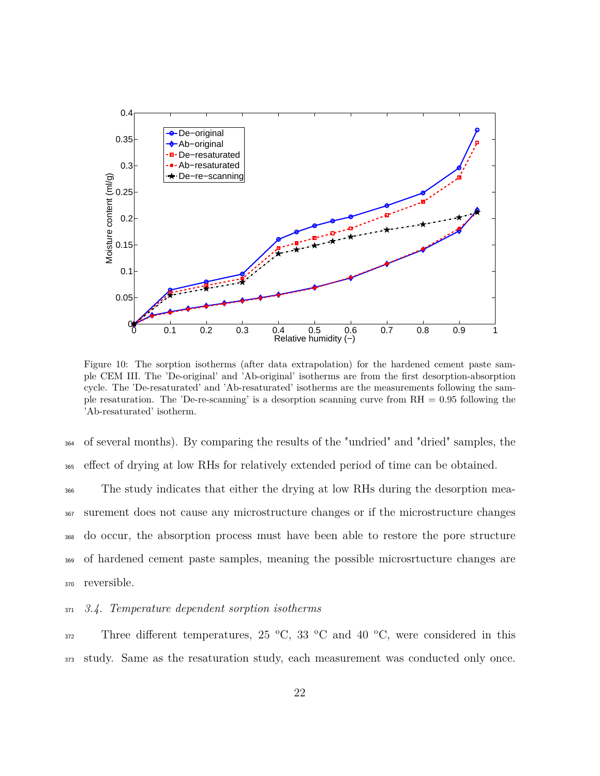<span id="page-21-0"></span>

Figure 10: The sorption isotherms (after data extrapolation) for the hardened cement paste sample CEM III. The 'De-original' and 'Ab-original' isotherms are from the first desorption-absorption cycle. The 'De-resaturated' and 'Ab-resaturated' isotherms are the measurements following the sample resaturation. The 'De-re-scanning' is a desorption scanning curve from RH = 0.95 following the 'Ab-resaturated' isotherm.

<sup>364</sup> of several months). By comparing the results of the "undried" and "dried" samples, the <sup>365</sup> effect of drying at low RHs for relatively extended period of time can be obtained.

 The study indicates that either the drying at low RHs during the desorption mea- surement does not cause any microstructure changes or if the microstructure changes do occur, the absorption process must have been able to restore the pore structure of hardened cement paste samples, meaning the possible microsrtucture changes are reversible.

# <sup>371</sup> *3.4. Temperature dependent sorption isotherms*

Three different temperatures, 25  $\,^{\circ}\text{C}$ , 33  $\,^{\circ}\text{C}$  and 40  $\,^{\circ}\text{C}$ , were considered in this <sup>373</sup> study. Same as the resaturation study, each measurement was conducted only once.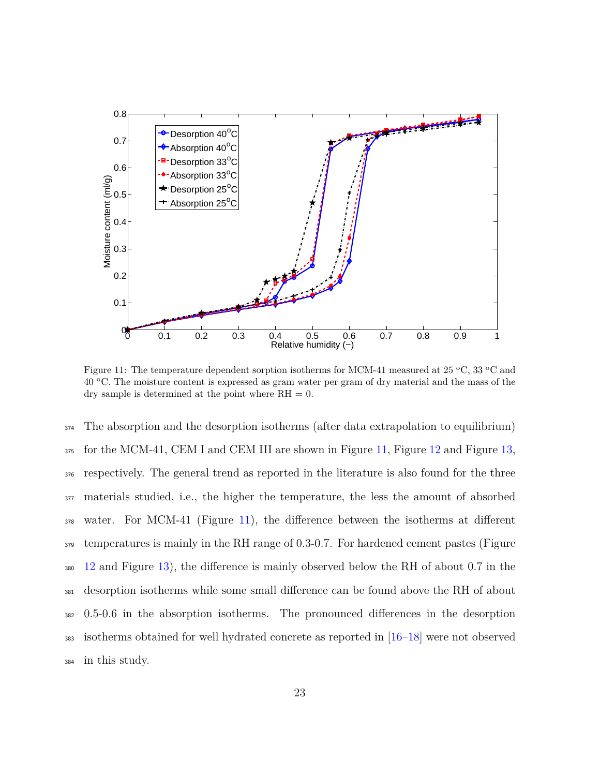<span id="page-22-0"></span>

Figure 11: The temperature dependent sorption isotherms for MCM-41 measured at 25  $\rm{^{\circ}C},$  33  $\rm{^{\circ}C}$  and  $40^{\circ}$ C. The moisture content is expressed as gram water per gram of dry material and the mass of the dry sample is determined at the point where  $RH = 0$ .

 The absorption and the desorption isotherms (after data extrapolation to equilibrium) for the MCM-41, CEM I and CEM III are shown in Figure [11,](#page-22-0) Figure [12](#page-23-0) and Figure [13,](#page-24-0) respectively. The general trend as reported in the literature is also found for the three materials studied, i.e., the higher the temperature, the less the amount of absorbed water. For MCM-41 (Figure [11\)](#page-22-0), the difference between the isotherms at different temperatures is mainly in the RH range of 0.3-0.7. For hardened cement pastes (Figure [12](#page-23-0) and Figure [13\)](#page-24-0), the difference is mainly observed below the RH of about 0.7 in the desorption isotherms while some small difference can be found above the RH of about 0.5-0.6 in the absorption isotherms. The pronounced differences in the desorption isotherms obtained for well hydrated concrete as reported in [\[16–](#page-33-0)[18\]](#page-33-4) were not observed in this study.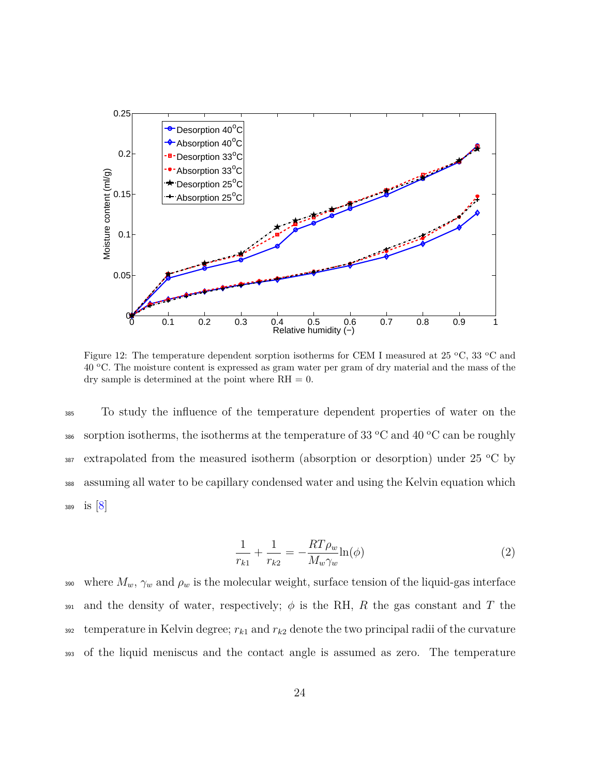<span id="page-23-0"></span>

Figure 12: The temperature dependent sorption isotherms for CEM I measured at 25  $\,^{\circ}$ C, 33  $\,^{\circ}$ C and 40 °C. The moisture content is expressed as gram water per gram of dry material and the mass of the dry sample is determined at the point where  $RH = 0$ .

<sup>385</sup> To study the influence of the temperature dependent properties of water on the sorption isotherms, the isotherms at the temperature of 33  $\rm{^{\circ}C}$  and 40  $\rm{^{\circ}C}$  can be roughly  $\frac{387}{287}$  extrapolated from the measured isotherm (absorption or desorption) under 25 °C by <sup>388</sup> assuming all water to be capillary condensed water and using the Kelvin equation which <sup>389</sup> is [\[8\]](#page-31-6)

<span id="page-23-1"></span>
$$
\frac{1}{r_{k1}} + \frac{1}{r_{k2}} = -\frac{RT\rho_w}{M_w\gamma_w}\ln(\phi)
$$
 (2)

390 where  $M_w$ ,  $\gamma_w$  and  $\rho_w$  is the molecular weight, surface tension of the liquid-gas interface 391 and the density of water, respectively;  $\phi$  is the RH, *R* the gas constant and *T* the  $\frac{392}{2}$  temperature in Kelvin degree;  $r_{k1}$  and  $r_{k2}$  denote the two principal radii of the curvature <sup>393</sup> of the liquid meniscus and the contact angle is assumed as zero. The temperature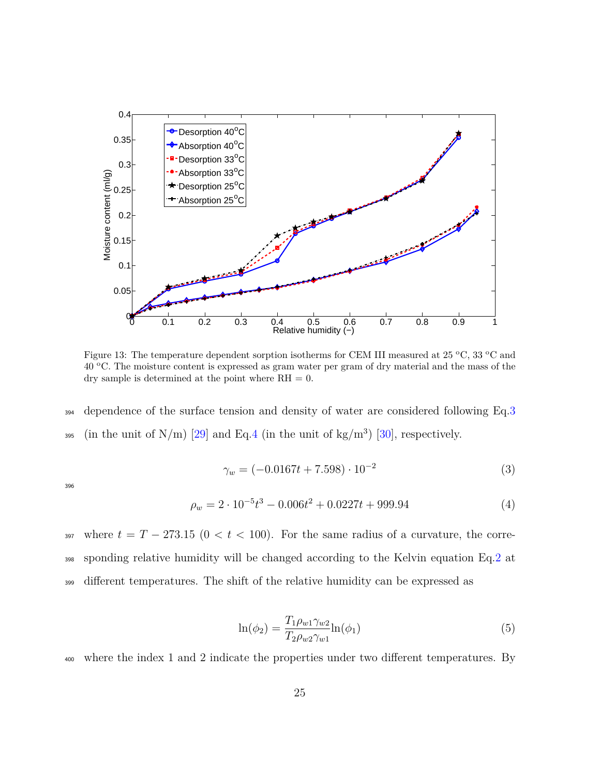<span id="page-24-0"></span>

Figure 13: The temperature dependent sorption isotherms for CEM III measured at 25  $\rm{^{\circ}C},$  33  $\rm{^{\circ}C}$  and 40 <sup>o</sup>C. The moisture content is expressed as gram water per gram of dry material and the mass of the dry sample is determined at the point where  $RH = 0$ .

<sup>394</sup> dependence of the surface tension and density of water are considered following Eq[.3](#page-24-1) 395 (in the unit of N/m) [\[29\]](#page-34-6) and Eq[.4](#page-24-2) (in the unit of kg/m<sup>3</sup>) [\[30\]](#page-34-7), respectively.

<span id="page-24-1"></span>
$$
\gamma_w = (-0.0167t + 7.598) \cdot 10^{-2} \tag{3}
$$

396

<span id="page-24-2"></span>
$$
\rho_w = 2 \cdot 10^{-5} t^3 - 0.006 t^2 + 0.0227 t + 999.94 \tag{4}
$$

397 where  $t = T - 273.15$  ( $0 < t < 100$ ). For the same radius of a curvature, the corre-<sup>398</sup> sponding relative humidity will be changed according to the Kelvin equation Eq[.2](#page-23-1) at <sup>399</sup> different temperatures. The shift of the relative humidity can be expressed as

<span id="page-24-3"></span>
$$
\ln(\phi_2) = \frac{T_1 \rho_{w1} \gamma_{w2}}{T_2 \rho_{w2} \gamma_{w1}} \ln(\phi_1)
$$
\n(5)

<sup>400</sup> where the index 1 and 2 indicate the properties under two different temperatures. By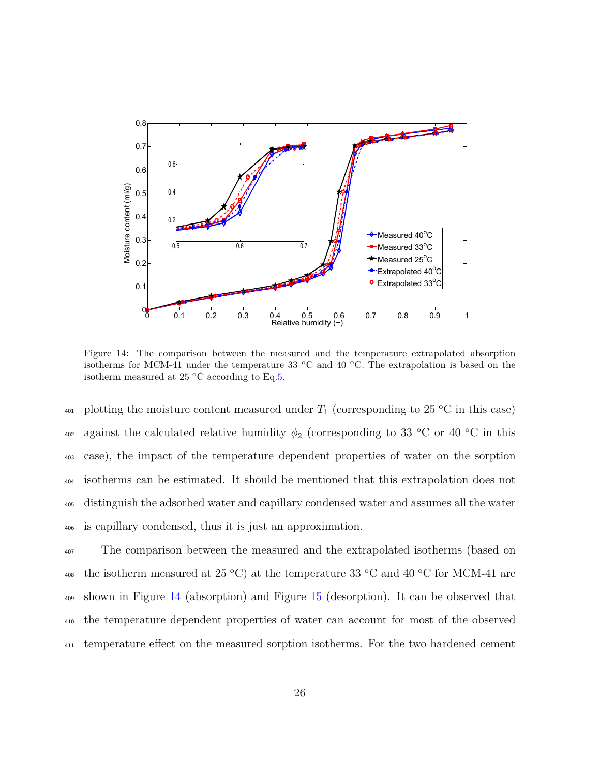<span id="page-25-0"></span>

Figure 14: The comparison between the measured and the temperature extrapolated absorption isotherms for MCM-41 under the temperature 33  $\degree$ C and 40  $\degree$ C. The extrapolation is based on the isotherm measured at 25  $\,^{\circ}$ C according to Eq[.5.](#page-24-3)

<sup>401</sup> plotting the moisture content measured under  $T_1$  (corresponding to 25 °C in this case)  $_{402}$  against the calculated relative humidity  $\phi_2$  (corresponding to 33 °C or 40 °C in this case), the impact of the temperature dependent properties of water on the sorption isotherms can be estimated. It should be mentioned that this extrapolation does not distinguish the adsorbed water and capillary condensed water and assumes all the water is capillary condensed, thus it is just an approximation.

<sup>407</sup> The comparison between the measured and the extrapolated isotherms (based on 408 the isotherm measured at 25 °C) at the temperature 33 °C and 40 °C for MCM-41 are <sup>409</sup> shown in Figure [14](#page-25-0) (absorption) and Figure [15](#page-26-0) (desorption). It can be observed that <sup>410</sup> the temperature dependent properties of water can account for most of the observed <sup>411</sup> temperature effect on the measured sorption isotherms. For the two hardened cement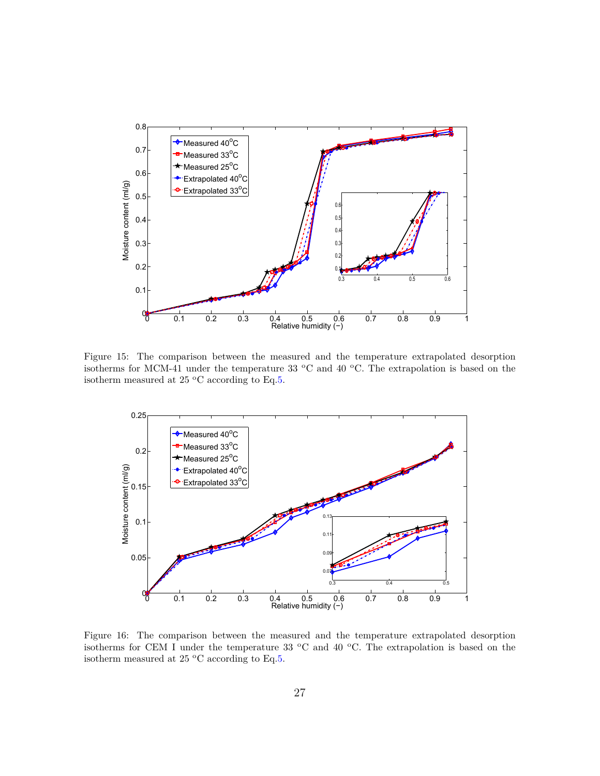<span id="page-26-0"></span>

Figure 15: The comparison between the measured and the temperature extrapolated desorption isotherms for MCM-41 under the temperature 33  $\,^{\circ}$ C and 40  $\,^{\circ}$ C. The extrapolation is based on the isotherm measured at 25  $\,^{\circ}$ C according to Eq[.5.](#page-24-3)

<span id="page-26-1"></span>

Figure 16: The comparison between the measured and the temperature extrapolated desorption isotherms for CEM I under the temperature 33  $\,^{\circ}\text{C}$  and 40  $\,^{\circ}\text{C}$ . The extrapolation is based on the isotherm measured at 25  $^{\rm o}{\rm C}$  according to Eq[.5.](#page-24-3)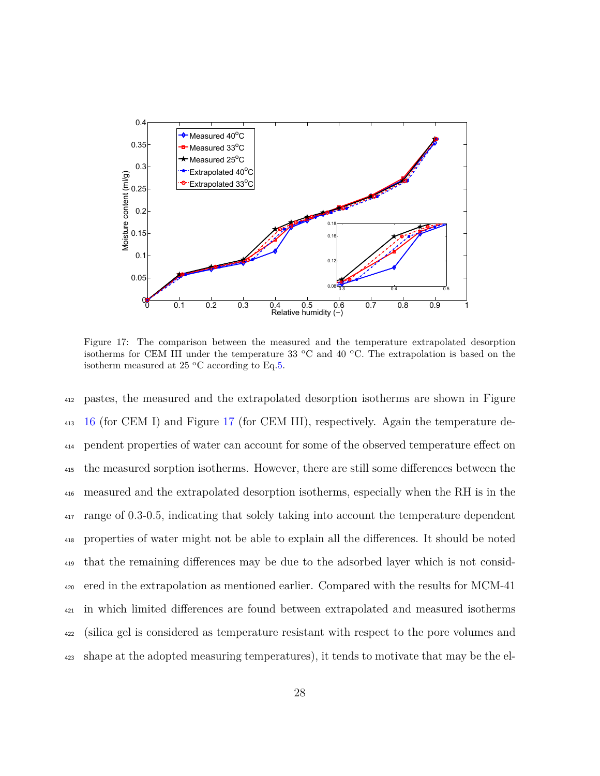<span id="page-27-0"></span>

Figure 17: The comparison between the measured and the temperature extrapolated desorption isotherms for CEM III under the temperature 33  $\degree$ C and 40  $\degree$ C. The extrapolation is based on the isotherm measured at 25  $\,^{\circ}$ C according to Eq[.5.](#page-24-3)

 pastes, the measured and the extrapolated desorption isotherms are shown in Figure [16](#page-26-1) (for CEM I) and Figure [17](#page-27-0) (for CEM III), respectively. Again the temperature de- pendent properties of water can account for some of the observed temperature effect on the measured sorption isotherms. However, there are still some differences between the measured and the extrapolated desorption isotherms, especially when the RH is in the range of 0.3-0.5, indicating that solely taking into account the temperature dependent properties of water might not be able to explain all the differences. It should be noted that the remaining differences may be due to the adsorbed layer which is not consid- ered in the extrapolation as mentioned earlier. Compared with the results for MCM-41 in which limited differences are found between extrapolated and measured isotherms (silica gel is considered as temperature resistant with respect to the pore volumes and shape at the adopted measuring temperatures), it tends to motivate that may be the el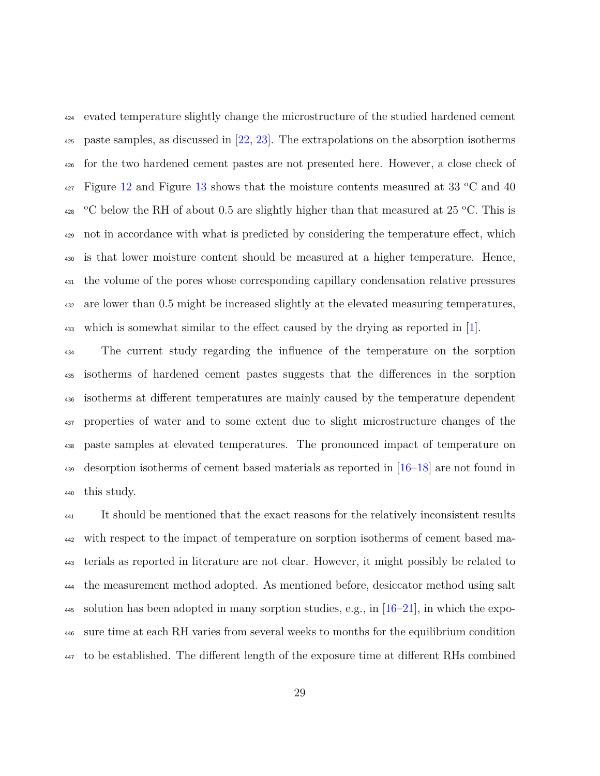evated temperature slightly change the microstructure of the studied hardened cement paste samples, as discussed in [\[22,](#page-33-5) [23\]](#page-34-0). The extrapolations on the absorption isotherms for the two hardened cement pastes are not presented here. However, a close check of  $_{427}$  Figure [12](#page-23-0) and Figure [13](#page-24-0) shows that the moisture contents measured at 33 °C and 40  $^{428}$  °C below the RH of about 0.5 are slightly higher than that measured at 25 °C. This is not in accordance with what is predicted by considering the temperature effect, which is that lower moisture content should be measured at a higher temperature. Hence, the volume of the pores whose corresponding capillary condensation relative pressures are lower than 0.5 might be increased slightly at the elevated measuring temperatures, which is somewhat similar to the effect caused by the drying as reported in [\[1\]](#page-30-0).

 The current study regarding the influence of the temperature on the sorption isotherms of hardened cement pastes suggests that the differences in the sorption isotherms at different temperatures are mainly caused by the temperature dependent properties of water and to some extent due to slight microstructure changes of the paste samples at elevated temperatures. The pronounced impact of temperature on desorption isotherms of cement based materials as reported in [\[16–](#page-33-0)[18\]](#page-33-4) are not found in this study.

 It should be mentioned that the exact reasons for the relatively inconsistent results with respect to the impact of temperature on sorption isotherms of cement based ma- terials as reported in literature are not clear. However, it might possibly be related to the measurement method adopted. As mentioned before, desiccator method using salt 445 solution has been adopted in many sorption studies, e.g., in  $[16–21]$  $[16–21]$ , in which the expo- sure time at each RH varies from several weeks to months for the equilibrium condition to be established. The different length of the exposure time at different RHs combined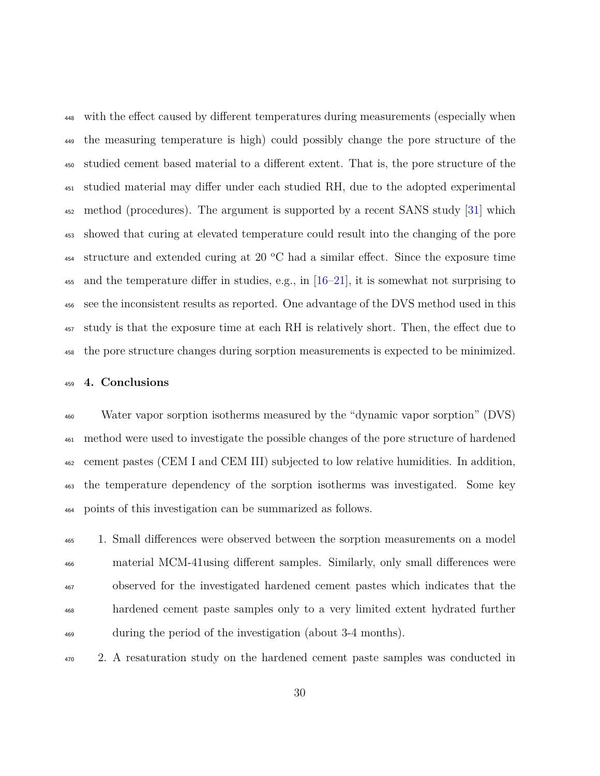with the effect caused by different temperatures during measurements (especially when the measuring temperature is high) could possibly change the pore structure of the studied cement based material to a different extent. That is, the pore structure of the studied material may differ under each studied RH, due to the adopted experimental method (procedures). The argument is supported by a recent SANS study [\[31\]](#page-35-0) which showed that curing at elevated temperature could result into the changing of the pore structure and extended curing at 20 °C had a similar effect. Since the exposure time 455 and the temperature differ in studies, e.g., in  $[16–21]$  $[16–21]$ , it is somewhat not surprising to see the inconsistent results as reported. One advantage of the DVS method used in this study is that the exposure time at each RH is relatively short. Then, the effect due to the pore structure changes during sorption measurements is expected to be minimized.

#### **4. Conclusions**

 Water vapor sorption isotherms measured by the "dynamic vapor sorption" (DVS) method were used to investigate the possible changes of the pore structure of hardened cement pastes (CEM I and CEM III) subjected to low relative humidities. In addition, the temperature dependency of the sorption isotherms was investigated. Some key points of this investigation can be summarized as follows.

 1. Small differences were observed between the sorption measurements on a model material MCM-41using different samples. Similarly, only small differences were observed for the investigated hardened cement pastes which indicates that the hardened cement paste samples only to a very limited extent hydrated further during the period of the investigation (about 3-4 months).

2. A resaturation study on the hardened cement paste samples was conducted in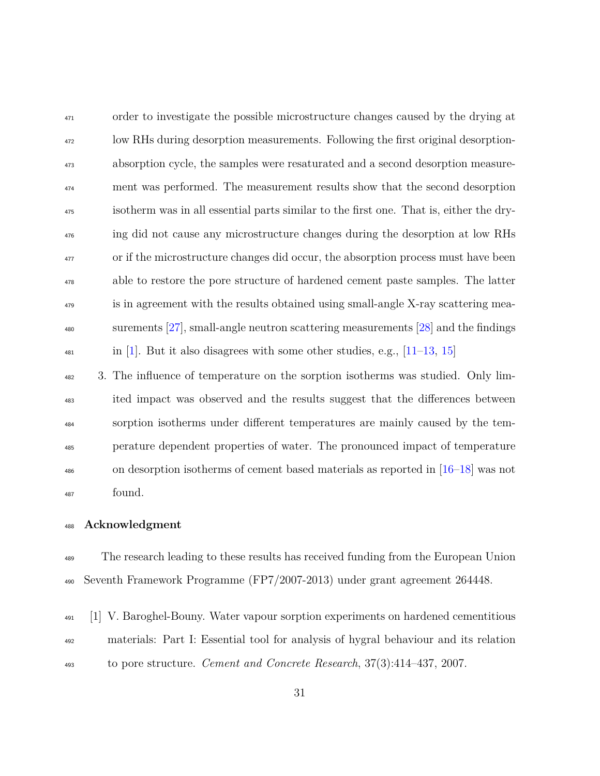<sup>471</sup> order to investigate the possible microstructure changes caused by the drying at low RHs during desorption measurements. Following the first original desorption- absorption cycle, the samples were resaturated and a second desorption measure- ment was performed. The measurement results show that the second desorption isotherm was in all essential parts similar to the first one. That is, either the dry- ing did not cause any microstructure changes during the desorption at low RHs <sup>477</sup> or if the microstructure changes did occur, the absorption process must have been able to restore the pore structure of hardened cement paste samples. The latter <sup>479</sup> is in agreement with the results obtained using small-angle X-ray scattering mea- surements [\[27\]](#page-34-4), small-angle neutron scattering measurements [\[28\]](#page-34-5) and the findings  $\frac{481}{11-13}$  in [\[1\]](#page-30-0). But it also disagrees with some other studies, e.g., [\[11–](#page-32-2)[13,](#page-32-6) [15\]](#page-32-3)

 3. The influence of temperature on the sorption isotherms was studied. Only lim- ited impact was observed and the results suggest that the differences between sorption isotherms under different temperatures are mainly caused by the tem- perature dependent properties of water. The pronounced impact of temperature on desorption isotherms of cement based materials as reported in [\[16–](#page-33-0)[18\]](#page-33-4) was not found.

## **Acknowledgment**

<sup>489</sup> The research leading to these results has received funding from the European Union Seventh Framework Programme (FP7/2007-2013) under grant agreement 264448.

<span id="page-30-0"></span> [1] V. Baroghel-Bouny. Water vapour sorption experiments on hardened cementitious materials: Part I: Essential tool for analysis of hygral behaviour and its relation to pore structure. *Cement and Concrete Research*, 37(3):414–437, 2007.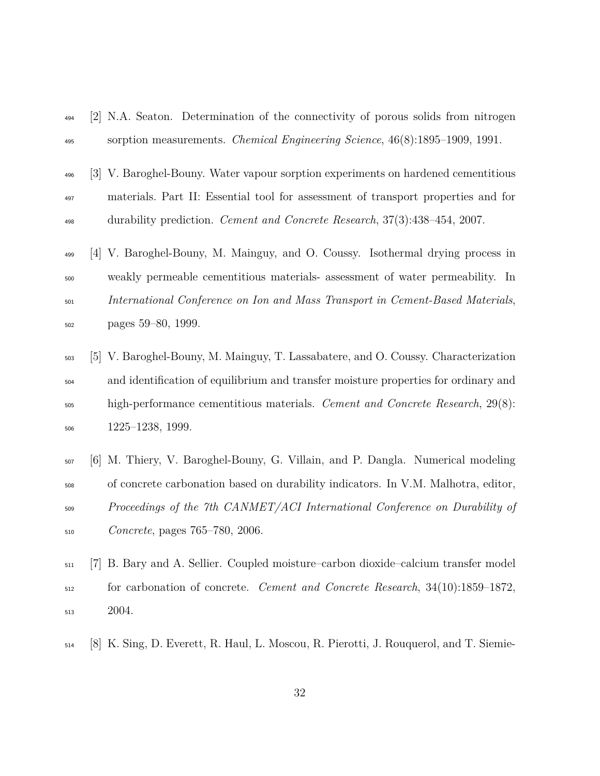- <span id="page-31-0"></span> [2] N.A. Seaton. Determination of the connectivity of porous solids from nitrogen sorption measurements. *Chemical Engineering Science*, 46(8):1895–1909, 1991.
- <span id="page-31-1"></span> [3] V. Baroghel-Bouny. Water vapour sorption experiments on hardened cementitious materials. Part II: Essential tool for assessment of transport properties and for durability prediction. *Cement and Concrete Research*, 37(3):438–454, 2007.
- <span id="page-31-2"></span> [4] V. Baroghel-Bouny, M. Mainguy, and O. Coussy. Isothermal drying process in weakly permeable cementitious materials- assessment of water permeability. In *International Conference on Ion and Mass Transport in Cement-Based Materials*, pages 59–80, 1999.
- <span id="page-31-3"></span> [5] V. Baroghel-Bouny, M. Mainguy, T. Lassabatere, and O. Coussy. Characterization and identification of equilibrium and transfer moisture properties for ordinary and high-performance cementitious materials. *Cement and Concrete Research*, 29(8): 1225–1238, 1999.
- <span id="page-31-4"></span> [6] M. Thiery, V. Baroghel-Bouny, G. Villain, and P. Dangla. Numerical modeling of concrete carbonation based on durability indicators. In V.M. Malhotra, editor, *Proceedings of the 7th CANMET/ACI International Conference on Durability of Concrete*, pages 765–780, 2006.
- <span id="page-31-5"></span> [7] B. Bary and A. Sellier. Coupled moisture–carbon dioxide–calcium transfer model for carbonation of concrete. *Cement and Concrete Research*, 34(10):1859–1872, 2004.
- <span id="page-31-6"></span>[8] K. Sing, D. Everett, R. Haul, L. Moscou, R. Pierotti, J. Rouquerol, and T. Siemie-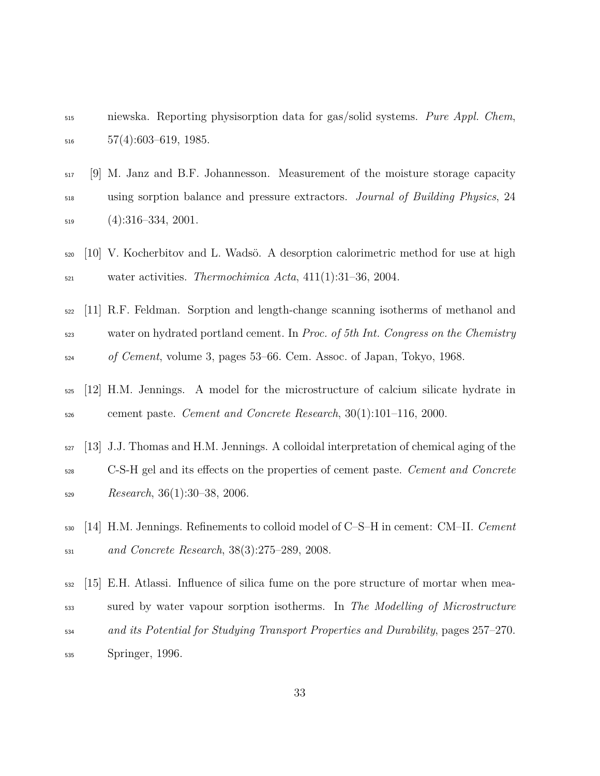- niewska. Reporting physisorption data for gas/solid systems. *Pure Appl. Chem*,  $57(4):603-619, 1985.$
- <span id="page-32-0"></span>
- [9] M. Janz and B.F. Johannesson. Measurement of the moisture storage capacity using sorption balance and pressure extractors. *Journal of Building Physics*, 24 (4):316–334, 2001.
- <span id="page-32-1"></span> [10] V. Kocherbitov and L. Wadsö. A desorption calorimetric method for use at high water activities. *Thermochimica Acta*, 411(1):31–36, 2004.
- <span id="page-32-2"></span> [11] R.F. Feldman. Sorption and length-change scanning isotherms of methanol and water on hydrated portland cement. In *Proc. of 5th Int. Congress on the Chemistry of Cement*, volume 3, pages 53–66. Cem. Assoc. of Japan, Tokyo, 1968.
- <span id="page-32-4"></span> [12] H.M. Jennings. A model for the microstructure of calcium silicate hydrate in cement paste. *Cement and Concrete Research*, 30(1):101–116, 2000.
- <span id="page-32-6"></span>[13] J.J. Thomas and H.M. Jennings. A colloidal interpretation of chemical aging of the
- C-S-H gel and its effects on the properties of cement paste. *Cement and Concrete Research*, 36(1):30–38, 2006.
- <span id="page-32-5"></span> [14] H.M. Jennings. Refinements to colloid model of C–S–H in cement: CM–II. *Cement and Concrete Research*, 38(3):275–289, 2008.
- <span id="page-32-3"></span> [15] E.H. Atlassi. Influence of silica fume on the pore structure of mortar when mea- sured by water vapour sorption isotherms. In *The Modelling of Microstructure and its Potential for Studying Transport Properties and Durability*, pages 257–270. Springer, 1996.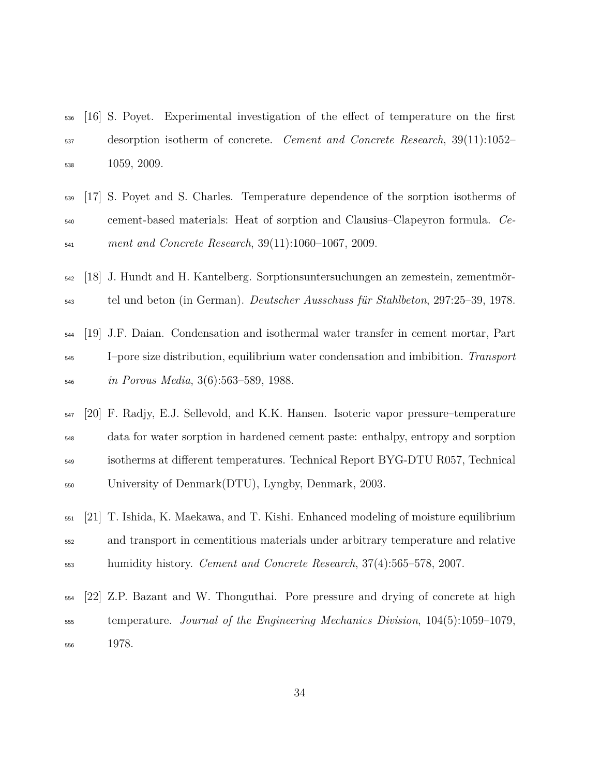- <span id="page-33-0"></span> [16] S. Poyet. Experimental investigation of the effect of temperature on the first desorption isotherm of concrete. *Cement and Concrete Research*, 39(11):1052– 1059, 2009.
- <span id="page-33-6"></span> [17] S. Poyet and S. Charles. Temperature dependence of the sorption isotherms of cement-based materials: Heat of sorption and Clausius–Clapeyron formula. *Ce-ment and Concrete Research*, 39(11):1060–1067, 2009.
- <span id="page-33-4"></span> [18] J. Hundt and H. Kantelberg. Sorptionsuntersuchungen an zemestein, zementmör-tel und beton (in German). *Deutscher Ausschuss für Stahlbeton*, 297:25–39, 1978.
- <span id="page-33-2"></span> [19] J.F. Daian. Condensation and isothermal water transfer in cement mortar, Part I–pore size distribution, equilibrium water condensation and imbibition. *Transport in Porous Media*, 3(6):563–589, 1988.
- <span id="page-33-3"></span> [20] F. Radjy, E.J. Sellevold, and K.K. Hansen. Isoteric vapor pressure–temperature data for water sorption in hardened cement paste: enthalpy, entropy and sorption isotherms at different temperatures. Technical Report BYG-DTU R057, Technical University of Denmark(DTU), Lyngby, Denmark, 2003.
- <span id="page-33-1"></span> [21] T. Ishida, K. Maekawa, and T. Kishi. Enhanced modeling of moisture equilibrium and transport in cementitious materials under arbitrary temperature and relative humidity history. *Cement and Concrete Research*, 37(4):565–578, 2007.
- <span id="page-33-5"></span> [22] Z.P. Bazant and W. Thonguthai. Pore pressure and drying of concrete at high temperature. *Journal of the Engineering Mechanics Division*, 104(5):1059–1079, 1978.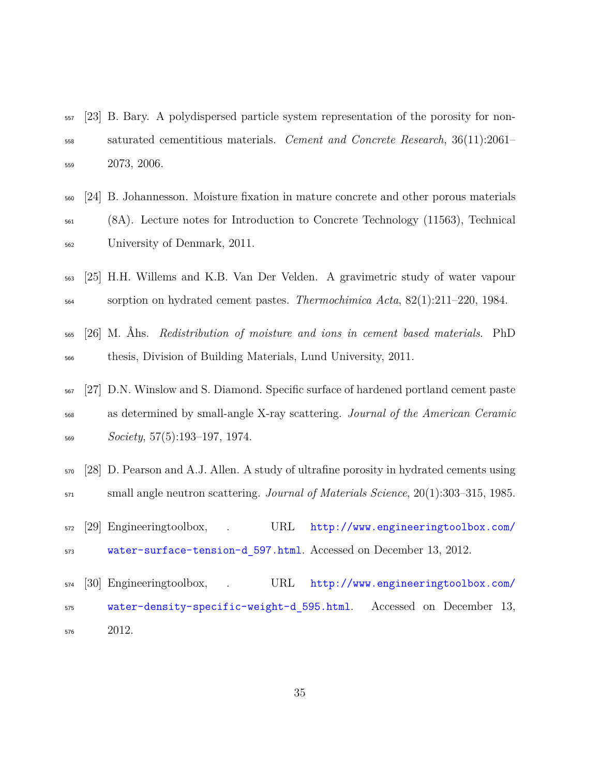- <span id="page-34-0"></span> [23] B. Bary. A polydispersed particle system representation of the porosity for non- saturated cementitious materials. *Cement and Concrete Research*, 36(11):2061– 2073, 2006.
- <span id="page-34-1"></span> [24] B. Johannesson. Moisture fixation in mature concrete and other porous materials (8A). Lecture notes for Introduction to Concrete Technology (11563), Technical University of Denmark, 2011.
- <span id="page-34-2"></span> [25] H.H. Willems and K.B. Van Der Velden. A gravimetric study of water vapour sorption on hydrated cement pastes. *Thermochimica Acta*, 82(1):211–220, 1984.
- <span id="page-34-3"></span> [26] M. Åhs. *Redistribution of moisture and ions in cement based materials*. PhD thesis, Division of Building Materials, Lund University, 2011.
- <span id="page-34-4"></span> [27] D.N. Winslow and S. Diamond. Specific surface of hardened portland cement paste as determined by small-angle X-ray scattering. *Journal of the American Ceramic Society*, 57(5):193–197, 1974.
- <span id="page-34-5"></span> [28] D. Pearson and A.J. Allen. A study of ultrafine porosity in hydrated cements using small angle neutron scattering. *Journal of Materials Science*, 20(1):303–315, 1985.
- <span id="page-34-6"></span> [\[](http://www.engineeringtoolbox.com/water-surface-tension-d_597.html)29] Engineeringtoolbox, . URL [http://www.engineeringtoolbox.com/](http://www.engineeringtoolbox.com/water-surface-tension-d_597.html) [water-surface-tension-d\\_597.html](http://www.engineeringtoolbox.com/water-surface-tension-d_597.html). Accessed on December 13, 2012.
- <span id="page-34-7"></span> [\[](http://www.engineeringtoolbox.com/water-density-specific-weight-d_595.html)30] Engineeringtoolbox, . URL [http://www.engineeringtoolbox.com/](http://www.engineeringtoolbox.com/water-density-specific-weight-d_595.html) [water-density-specific-weight-d\\_595.html](http://www.engineeringtoolbox.com/water-density-specific-weight-d_595.html). Accessed on December 13, 2012.